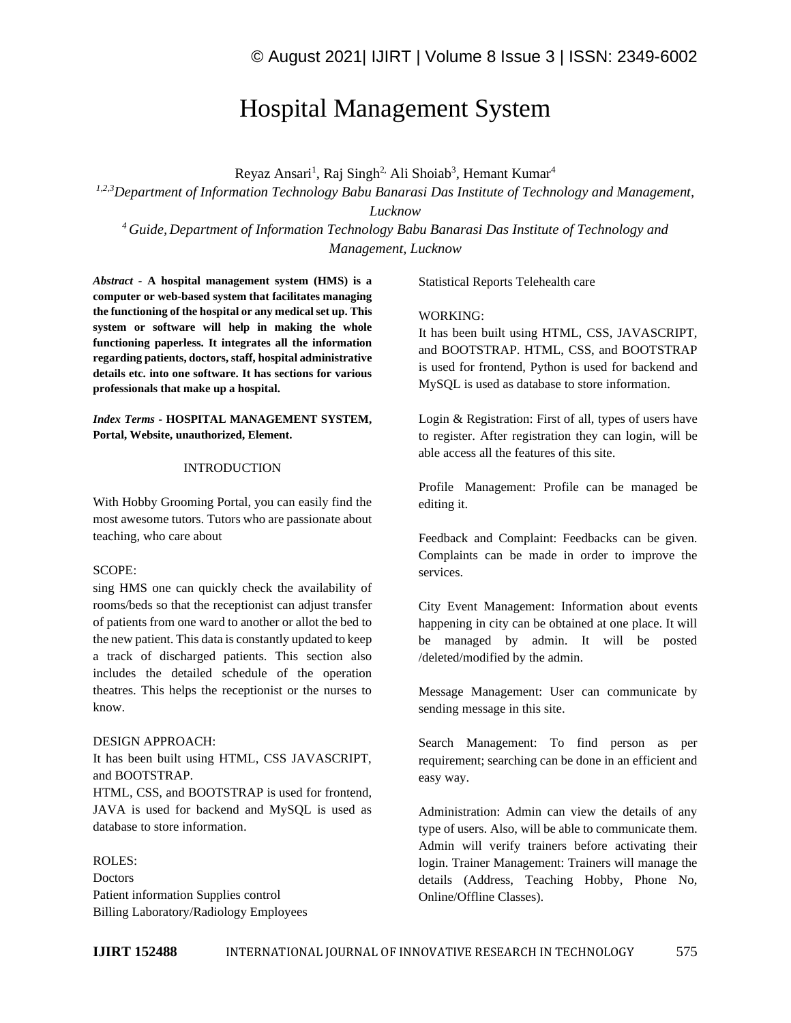# Hospital Management System

Reyaz Ansari<sup>1</sup>, Raj Singh<sup>2,</sup> Ali Shoiab<sup>3</sup>, Hemant Kumar<sup>4</sup>

*1,2,3Department of Information Technology Babu Banarasi Das Institute of Technology and Management, Lucknow*

*<sup>4</sup>Guide, Department of Information Technology Babu Banarasi Das Institute of Technology and Management, Lucknow*

*Abstract -* **A hospital management system (HMS) is a computer or web-based system that facilitates managing the functioning of the hospital or any medical set up. This system or software will help in making the whole functioning paperless. It integrates all the information regarding patients, doctors, staff, hospital administrative details etc. into one software. It has sections for various professionals that make up a hospital.**

*Index Terms -* **HOSPITAL MANAGEMENT SYSTEM, Portal, Website, unauthorized, Element.**

### INTRODUCTION

With Hobby Grooming Portal, you can easily find the most awesome tutors. Tutors who are passionate about teaching, who care about

## SCOPE:

sing HMS one can quickly check the availability of rooms/beds so that the receptionist can adjust transfer of patients from one ward to another or allot the bed to the new patient. This data is constantly updated to keep a track of discharged patients. This section also includes the detailed schedule of the operation theatres. This helps the receptionist or the nurses to know.

#### DESIGN APPROACH:

It has been built using HTML, CSS JAVASCRIPT, and BOOTSTRAP.

HTML, CSS, and BOOTSTRAP is used for frontend, JAVA is used for backend and MySQL is used as database to store information.

## ROLES:

**Doctors** Patient information Supplies control Billing Laboratory/Radiology Employees Statistical Reports Telehealth care

#### WORKING:

It has been built using HTML, CSS, JAVASCRIPT, and BOOTSTRAP. HTML, CSS, and BOOTSTRAP is used for frontend, Python is used for backend and MySQL is used as database to store information.

Login & Registration: First of all, types of users have to register. After registration they can login, will be able access all the features of this site.

Profile Management: Profile can be managed be editing it.

Feedback and Complaint: Feedbacks can be given. Complaints can be made in order to improve the services.

City Event Management: Information about events happening in city can be obtained at one place. It will be managed by admin. It will be posted /deleted/modified by the admin.

Message Management: User can communicate by sending message in this site.

Search Management: To find person as per requirement; searching can be done in an efficient and easy way.

Administration: Admin can view the details of any type of users. Also, will be able to communicate them. Admin will verify trainers before activating their login. Trainer Management: Trainers will manage the details (Address, Teaching Hobby, Phone No, Online/Offline Classes).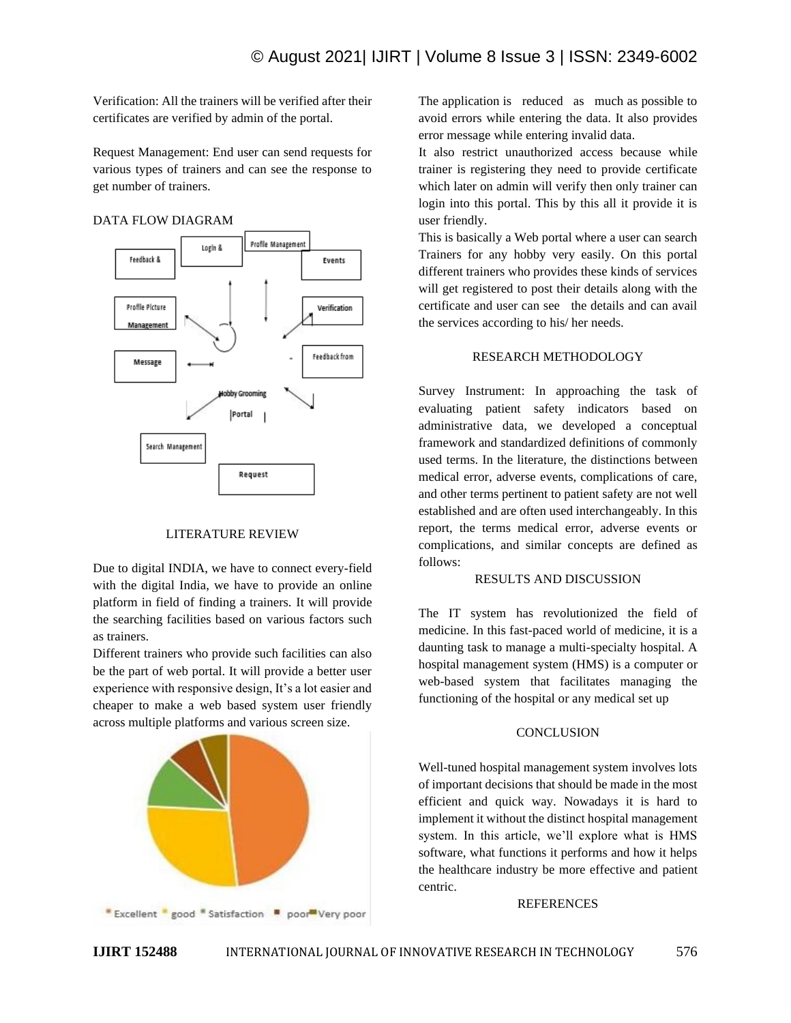Verification: All the trainers will be verified after their certificates are verified by admin of the portal.

Request Management: End user can send requests for various types of trainers and can see the response to get number of trainers.

# DATA FLOW DIAGRAM



#### LITERATURE REVIEW

Due to digital INDIA, we have to connect every-field with the digital India, we have to provide an online platform in field of finding a trainers. It will provide the searching facilities based on various factors such as trainers.

Different trainers who provide such facilities can also be the part of web portal. It will provide a better user experience with responsive design, It's a lot easier and cheaper to make a web based system user friendly across multiple platforms and various screen size.



The application is reduced as much as possible to avoid errors while entering the data. It also provides error message while entering invalid data.

It also restrict unauthorized access because while trainer is registering they need to provide certificate which later on admin will verify then only trainer can login into this portal. This by this all it provide it is user friendly.

This is basically a Web portal where a user can search Trainers for any hobby very easily. On this portal different trainers who provides these kinds of services will get registered to post their details along with the certificate and user can see the details and can avail the services according to his/ her needs.

### RESEARCH METHODOLOGY

Survey Instrument: In approaching the task of evaluating patient safety indicators based on administrative data, we developed a conceptual framework and standardized definitions of commonly used terms. In the literature, the distinctions between medical error, adverse events, complications of care, and other terms pertinent to patient safety are not well established and are often used interchangeably. In this report, the terms medical error, adverse events or complications, and similar concepts are defined as follows:

#### RESULTS AND DISCUSSION

The IT system has revolutionized the field of medicine. In this fast-paced world of medicine, it is a daunting task to manage a multi-specialty hospital. A hospital management system (HMS) is a computer or web-based system that facilitates managing the functioning of the hospital or any medical set up

#### **CONCLUSION**

Well-tuned hospital management system involves lots of important decisions that should be made in the most efficient and quick way. Nowadays it is hard to implement it without the distinct hospital management system. In this article, we'll explore what is HMS software, what functions it performs and how it helps the healthcare industry be more effective and patient centric.

#### REFERENCES